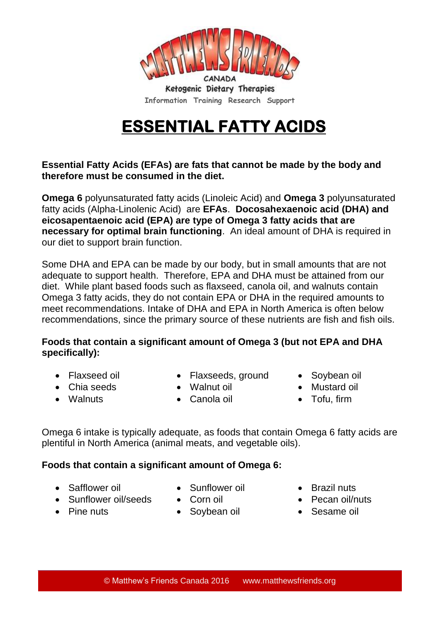

- Sunflower oil/seeds Corn oil Pecan oil/nuts
- Pine nuts Soybean oil Sesame oil
- -
- **Foods that contain a significant amount of Omega 6:**

Omega 6 intake is typically adequate, as foods that contain Omega 6 fatty acids are

- recommendations, since the primary source of these nutrients are fish and fish oils.
- **eicosapentaenoic acid (EPA) are type of Omega 3 fatty acids that are necessary for optimal brain functioning**. An ideal amount of DHA is required in our diet to support brain function.

**Omega 6** polyunsaturated fatty acids (Linoleic Acid) and **Omega 3** polyunsaturated fatty acids (Alpha-Linolenic Acid) are **EFAs**. **Docosahexaenoic acid (DHA) and** 

Some DHA and EPA can be made by our body, but in small amounts that are not adequate to support health. Therefore, EPA and DHA must be attained from our diet. While plant based foods such as flaxseed, canola oil, and walnuts contain Omega 3 fatty acids, they do not contain EPA or DHA in the required amounts to meet recommendations. Intake of DHA and EPA in North America is often below

**Foods that contain a significant amount of Omega 3 (but not EPA and DHA specifically):** 

- -

plentiful in North America (animal meats, and vegetable oils).

**therefore must be consumed in the diet.**

- 
- 
- 
- Walnuts Canola oil Tofu, firm

- 
- Safflower oil Sunflower oil Brazil nuts
	-
	-

Ketogenic Dietary Therapies

**Information Training Research Support**

## **ESSENTIAL FATTY ACIDS**

**Essential Fatty Acids (EFAs) are fats that cannot be made by the body and** 

• Chia seeds Walnut oil Mustard oil

- 
- Flaxseed oil Flaxseeds, ground Soybean oil
	-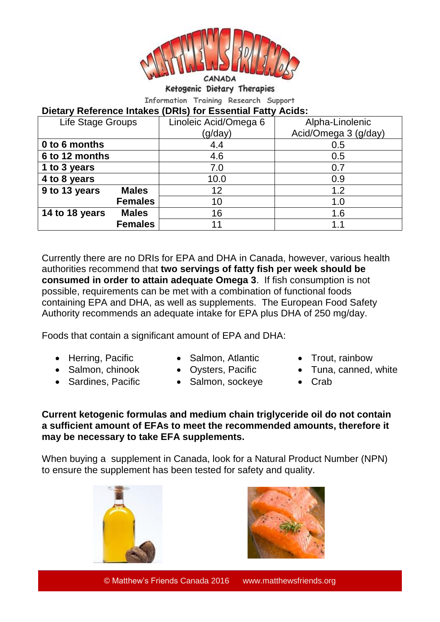

Ketogenic Dietary Therapies

**Information Training Research Support**

## **Dietary Reference Intakes (DRIs) for Essential Fatty Acids:**

| Life Stage Groups |                | Linoleic Acid/Omega 6 | Alpha-Linolenic      |
|-------------------|----------------|-----------------------|----------------------|
|                   |                | (g/day)               | Acid/Omega 3 (g/day) |
| 0 to 6 months     |                | 4.4                   | 0.5                  |
| 6 to 12 months    |                | 4.6                   | 0.5                  |
| 1 to 3 years      |                | 7.0                   | 0.7                  |
| 4 to 8 years      |                | 10.0                  | 0.9                  |
| 9 to 13 years     | <b>Males</b>   | 12                    | 1.2                  |
|                   | <b>Females</b> | 10                    | 1.0                  |
| 14 to 18 years    | <b>Males</b>   | 16                    | 1.6                  |
|                   | <b>Females</b> | 11                    |                      |

Currently there are no DRIs for EPA and DHA in Canada, however, various health authorities recommend that **two servings of fatty fish per week should be consumed in order to attain adequate Omega 3**. If fish consumption is not possible, requirements can be met with a combination of functional foods containing EPA and DHA, as well as supplements. The European Food Safety Authority recommends an adequate intake for EPA plus DHA of 250 mg/day.

Foods that contain a significant amount of EPA and DHA:

- Herring, Pacific Salmon, Atlantic Trout, rainbow
	-
	-
- Sardines, Pacific Salmon, sockeye Crab
- 
- Salmon, chinook Oysters, Pacific Tuna, canned, white
	-

**Current ketogenic formulas and medium chain triglyceride oil do not contain a sufficient amount of EFAs to meet the recommended amounts, therefore it may be necessary to take EFA supplements.** 

When buying a supplement in Canada, look for a Natural Product Number (NPN) to ensure the supplement has been tested for safety and quality.